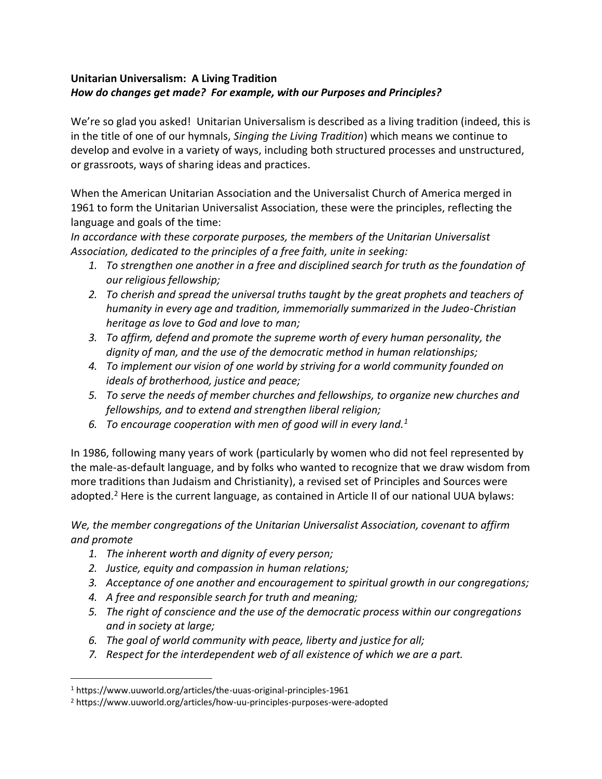# **Unitarian Universalism: A Living Tradition** *How do changes get made? For example, with our Purposes and Principles?*

We're so glad you asked! Unitarian Universalism is described as a living tradition (indeed, this is in the title of one of our hymnals, *Singing the Living Tradition*) which means we continue to develop and evolve in a variety of ways, including both structured processes and unstructured, or grassroots, ways of sharing ideas and practices.

When the American Unitarian Association and the Universalist Church of America merged in 1961 to form the Unitarian Universalist Association, these were the principles, reflecting the language and goals of the time:

*In accordance with these corporate purposes, the members of the Unitarian Universalist Association, dedicated to the principles of a free faith, unite in seeking:*

- *1. To strengthen one another in a free and disciplined search for truth as the foundation of our religious fellowship;*
- *2. To cherish and spread the universal truths taught by the great prophets and teachers of humanity in every age and tradition, immemorially summarized in the Judeo-Christian heritage as love to God and love to man;*
- *3. To affirm, defend and promote the supreme worth of every human personality, the dignity of man, and the use of the democratic method in human relationships;*
- *4. To implement our vision of one world by striving for a world community founded on ideals of brotherhood, justice and peace;*
- *5. To serve the needs of member churches and fellowships, to organize new churches and fellowships, and to extend and strengthen liberal religion;*
- *6. To encourage cooperation with men of good will in every land.<sup>1</sup>*

In 1986, following many years of work (particularly by women who did not feel represented by the male-as-default language, and by folks who wanted to recognize that we draw wisdom from more traditions than Judaism and Christianity), a revised set of Principles and Sources were adopted.<sup>2</sup> Here is the current language, as contained in Article II of our national UUA bylaws:

*We, the member congregations of the Unitarian Universalist Association, covenant to affirm and promote* 

- *1. The inherent worth and dignity of every person;*
- *2. Justice, equity and compassion in human relations;*
- *3. Acceptance of one another and encouragement to spiritual growth in our congregations;*
- *4. A free and responsible search for truth and meaning;*
- *5. The right of conscience and the use of the democratic process within our congregations and in society at large;*
- *6. The goal of world community with peace, liberty and justice for all;*
- *7. Respect for the interdependent web of all existence of which we are a part.*

<sup>1</sup> https://www.uuworld.org/articles/the-uuas-original-principles-1961

<sup>2</sup> https://www.uuworld.org/articles/how-uu-principles-purposes-were-adopted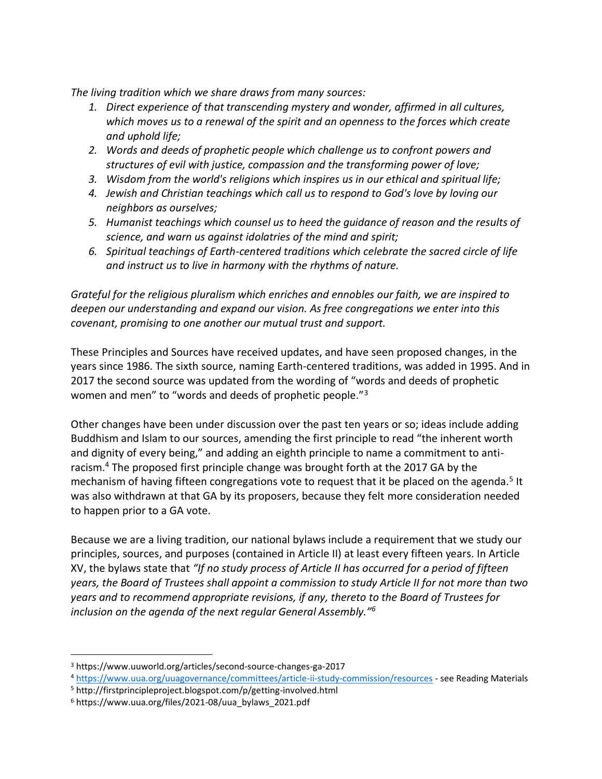*The living tradition which we share draws from many sources:* 

- *1. Direct experience of that transcending mystery and wonder, affirmed in all cultures, which moves us to a renewal of the spirit and an openness to the forces which create and uphold life;*
- *2. Words and deeds of prophetic people which challenge us to confront powers and structures of evil with justice, compassion and the transforming power of love;*
- *3. Wisdom from the world's religions which inspires us in our ethical and spiritual life;*
- *4. Jewish and Christian teachings which call us to respond to God's love by loving our neighbors as ourselves;*
- *5. Humanist teachings which counsel us to heed the guidance of reason and the results of science, and warn us against idolatries of the mind and spirit;*
- *6. Spiritual teachings of Earth-centered traditions which celebrate the sacred circle of life and instruct us to live in harmony with the rhythms of nature.*

*Grateful for the religious pluralism which enriches and ennobles our faith, we are inspired to deepen our understanding and expand our vision. As free congregations we enter into this covenant, promising to one another our mutual trust and support.*

These Principles and Sources have received updates, and have seen proposed changes, in the years since 1986. The sixth source, naming Earth-centered traditions, was added in 1995. And in 2017 the second source was updated from the wording of "words and deeds of prophetic women and men" to "words and deeds of prophetic people."<sup>3</sup>

Other changes have been under discussion over the past ten years or so; ideas include adding Buddhism and Islam to our sources, amending the first principle to read "the inherent worth and dignity of every being," and adding an eighth principle to name a commitment to antiracism.<sup>4</sup> The proposed first principle change was brought forth at the 2017 GA by the mechanism of having fifteen congregations vote to request that it be placed on the agenda.<sup>5</sup> It was also withdrawn at that GA by its proposers, because they felt more consideration needed to happen prior to a GA vote.

Because we are a living tradition, our national bylaws include a requirement that we study our principles, sources, and purposes (contained in Article II) at least every fifteen years. In Article XV, the bylaws state that *"If no study process of Article II has occurred for a period of fifteen years, the Board of Trustees shall appoint a commission to study Article II for not more than two years and to recommend appropriate revisions, if any, thereto to the Board of Trustees for inclusion on the agenda of the next regular General Assembly."<sup>6</sup>*

<sup>3</sup> https://www.uuworld.org/articles/second-source-changes-ga-2017

<sup>4</sup> <https://www.uua.org/uuagovernance/committees/article-ii-study-commission/resources> - see Reading Materials

<sup>5</sup> http://firstprincipleproject.blogspot.com/p/getting-involved.html

<sup>6</sup> https://www.uua.org/files/2021-08/uua\_bylaws\_2021.pdf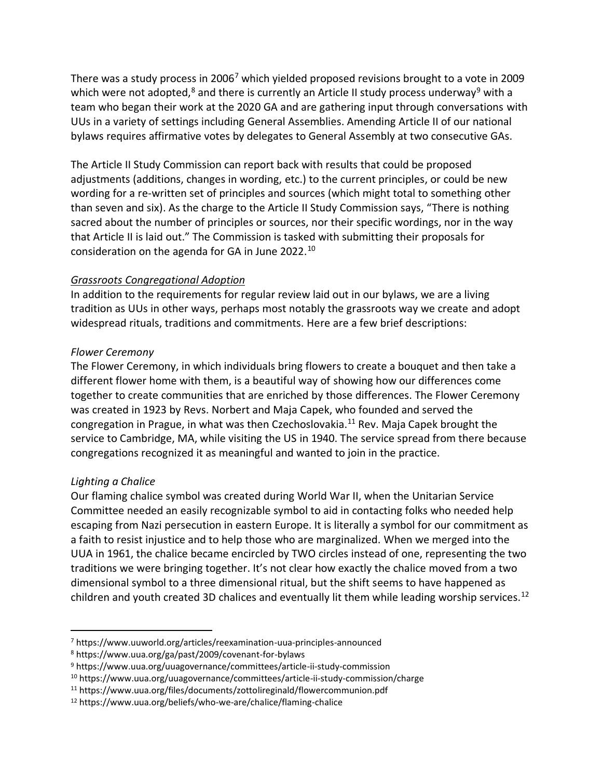There was a study process in 2006<sup>7</sup> which yielded proposed revisions brought to a vote in 2009 which were not adopted, $8$  and there is currently an Article II study process underway<sup>9</sup> with a team who began their work at the 2020 GA and are gathering input through conversations with UUs in a variety of settings including General Assemblies. Amending Article II of our national bylaws requires affirmative votes by delegates to General Assembly at two consecutive GAs.

The Article II Study Commission can report back with results that could be proposed adjustments (additions, changes in wording, etc.) to the current principles, or could be new wording for a re-written set of principles and sources (which might total to something other than seven and six). As the charge to the Article II Study Commission says, "There is nothing sacred about the number of principles or sources, nor their specific wordings, nor in the way that Article II is laid out." The Commission is tasked with submitting their proposals for consideration on the agenda for GA in June 2022.<sup>10</sup>

## *Grassroots Congregational Adoption*

In addition to the requirements for regular review laid out in our bylaws, we are a living tradition as UUs in other ways, perhaps most notably the grassroots way we create and adopt widespread rituals, traditions and commitments. Here are a few brief descriptions:

### *Flower Ceremony*

The Flower Ceremony, in which individuals bring flowers to create a bouquet and then take a different flower home with them, is a beautiful way of showing how our differences come together to create communities that are enriched by those differences. The Flower Ceremony was created in 1923 by Revs. Norbert and Maja Capek, who founded and served the congregation in Prague, in what was then Czechoslovakia.<sup>11</sup> Rev. Maja Capek brought the service to Cambridge, MA, while visiting the US in 1940. The service spread from there because congregations recognized it as meaningful and wanted to join in the practice.

## *Lighting a Chalice*

Our flaming chalice symbol was created during World War II, when the Unitarian Service Committee needed an easily recognizable symbol to aid in contacting folks who needed help escaping from Nazi persecution in eastern Europe. It is literally a symbol for our commitment as a faith to resist injustice and to help those who are marginalized. When we merged into the UUA in 1961, the chalice became encircled by TWO circles instead of one, representing the two traditions we were bringing together. It's not clear how exactly the chalice moved from a two dimensional symbol to a three dimensional ritual, but the shift seems to have happened as children and youth created 3D chalices and eventually lit them while leading worship services.<sup>12</sup>

<sup>7</sup> https://www.uuworld.org/articles/reexamination-uua-principles-announced

<sup>8</sup> https://www.uua.org/ga/past/2009/covenant-for-bylaws

<sup>9</sup> https://www.uua.org/uuagovernance/committees/article-ii-study-commission

<sup>10</sup> https://www.uua.org/uuagovernance/committees/article-ii-study-commission/charge

<sup>11</sup> https://www.uua.org/files/documents/zottolireginald/flowercommunion.pdf

<sup>12</sup> https://www.uua.org/beliefs/who-we-are/chalice/flaming-chalice